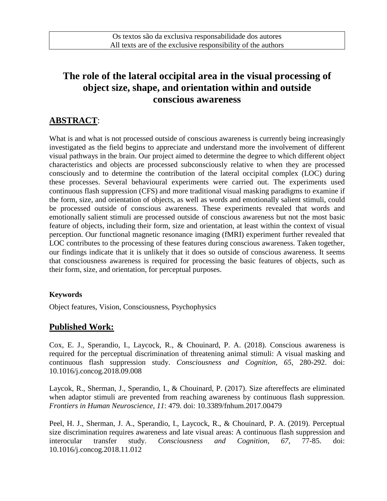# **The role of the lateral occipital area in the visual processing of object size, shape, and orientation within and outside conscious awareness**

## **ABSTRACT**:

What is and what is not processed outside of conscious awareness is currently being increasingly investigated as the field begins to appreciate and understand more the involvement of different visual pathways in the brain. Our project aimed to determine the degree to which different object characteristics and objects are processed subconsciously relative to when they are processed consciously and to determine the contribution of the lateral occipital complex (LOC) during these processes. Several behavioural experiments were carried out. The experiments used continuous flash suppression (CFS) and more traditional visual masking paradigms to examine if the form, size, and orientation of objects, as well as words and emotionally salient stimuli, could be processed outside of conscious awareness. These experiments revealed that words and emotionally salient stimuli are processed outside of conscious awareness but not the most basic feature of objects, including their form, size and orientation, at least within the context of visual perception. Our functional magnetic resonance imaging (fMRI) experiment further revealed that LOC contributes to the processing of these features during conscious awareness. Taken together, our findings indicate that it is unlikely that it does so outside of conscious awareness. It seems that consciousness awareness is required for processing the basic features of objects, such as their form, size, and orientation, for perceptual purposes.

#### **Keywords**

Object features, Vision, Consciousness, Psychophysics

### **Published Work:**

Cox, E. J., Sperandio, I., Laycock, R., & Chouinard, P. A. (2018). Conscious awareness is required for the perceptual discrimination of threatening animal stimuli: A visual masking and continuous flash suppression study. *Consciousness and Cognition, 65*, 280-292. doi: 10.1016/j.concog.2018.09.008

Laycok, R., Sherman, J., Sperandio, I., & Chouinard, P. (2017). Size aftereffects are eliminated when adaptor stimuli are prevented from reaching awareness by continuous flash suppression. *Frontiers in Human Neuroscience, 11*: 479. doi: 10.3389/fnhum.2017.00479

Peel, H. J., Sherman, J. A., Sperandio, I., Laycock, R., & Chouinard, P. A. (2019). Perceptual size discrimination requires awareness and late visual areas: A continuous flash suppression and interocular transfer study. *Consciousness and Cognition, 67*, 77-85. doi: 10.1016/j.concog.2018.11.012